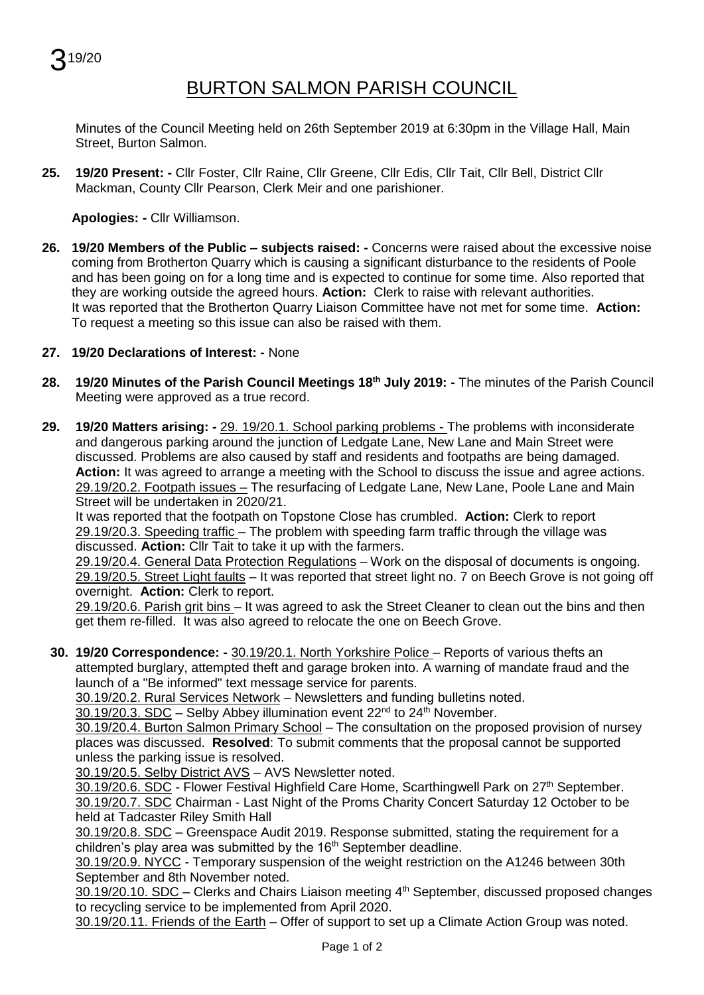$219/20$ 

## BURTON SALMON PARISH COUNCIL

Minutes of the Council Meeting held on 26th September 2019 at 6:30pm in the Village Hall, Main Street, Burton Salmon.

**25. 19/20 Present: -** Cllr Foster, Cllr Raine, Cllr Greene, Cllr Edis, Cllr Tait, Cllr Bell, District Cllr Mackman, County Cllr Pearson, Clerk Meir and one parishioner.

**Apologies: -** Cllr Williamson.

**26. 19/20 Members of the Public – subjects raised: -** Concerns were raised about the excessive noise coming from Brotherton Quarry which is causing a significant disturbance to the residents of Poole and has been going on for a long time and is expected to continue for some time. Also reported that they are working outside the agreed hours. **Action:** Clerk to raise with relevant authorities. It was reported that the Brotherton Quarry Liaison Committee have not met for some time. **Action:** To request a meeting so this issue can also be raised with them.

## **27. 19/20 Declarations of Interest: -** None

- **28. 19/20 Minutes of the Parish Council Meetings 18 th July 2019: -** The minutes of the Parish Council Meeting were approved as a true record.
- **29. 19/20 Matters arising: -** 29. 19/20.1. School parking problems The problems with inconsiderate and dangerous parking around the junction of Ledgate Lane, New Lane and Main Street were discussed. Problems are also caused by staff and residents and footpaths are being damaged. **Action:** It was agreed to arrange a meeting with the School to discuss the issue and agree actions. 29.19/20.2. Footpath issues – The resurfacing of Ledgate Lane, New Lane, Poole Lane and Main Street will be undertaken in 2020/21.

It was reported that the footpath on Topstone Close has crumbled. **Action:** Clerk to report 29.19/20.3. Speeding traffic - The problem with speeding farm traffic through the village was discussed. **Action:** Cllr Tait to take it up with the farmers.

29.19/20.4. General Data Protection Regulations – Work on the disposal of documents is ongoing. 29.19/20.5. Street Light faults – It was reported that street light no. 7 on Beech Grove is not going off overnight. **Action:** Clerk to report.

29.19/20.6. Parish grit bins – It was agreed to ask the Street Cleaner to clean out the bins and then get them re-filled. It was also agreed to relocate the one on Beech Grove.

**30. 19/20 Correspondence: -** 30.19/20.1. North Yorkshire Police – Reports of various thefts an attempted burglary, attempted theft and garage broken into. A warning of mandate fraud and the launch of a "Be informed" text message service for parents.

30.19/20.2. Rural Services Network – Newsletters and funding bulletins noted.

30.19/20.3. SDC - Selby Abbey illumination event 22<sup>nd</sup> to 24<sup>th</sup> November.

30.19/20.4. Burton Salmon Primary School – The consultation on the proposed provision of nursey places was discussed. **Resolved**: To submit comments that the proposal cannot be supported unless the parking issue is resolved.

30.19/20.5. Selby District AVS – AVS Newsletter noted.

30.19/20.6. SDC - Flower Festival Highfield Care Home, Scarthingwell Park on 27<sup>th</sup> September. 30.19/20.7. SDC Chairman - Last Night of the Proms Charity Concert Saturday 12 October to be held at Tadcaster Riley Smith Hall

30.19/20.8. SDC – Greenspace Audit 2019. Response submitted, stating the requirement for a  $\overline{\text{children}}$ 's play area was submitted by the 16<sup>th</sup> September deadline.

30.19/20.9. NYCC - Temporary suspension of the weight restriction on the A1246 between 30th September and 8th November noted.

30.19/20.10. SDC – Clerks and Chairs Liaison meeting  $4<sup>th</sup>$  September, discussed proposed changes to recycling service to be implemented from April 2020.

30.19/20.11. Friends of the Earth – Offer of support to set up a Climate Action Group was noted.